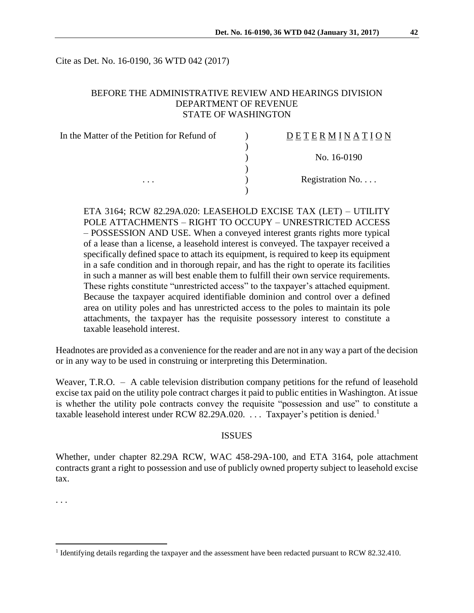Cite as Det. No. 16-0190, 36 WTD 042 (2017)

### BEFORE THE ADMINISTRATIVE REVIEW AND HEARINGS DIVISION DEPARTMENT OF REVENUE STATE OF WASHINGTON

| In the Matter of the Petition for Refund of | DETERMINATION   |
|---------------------------------------------|-----------------|
|                                             |                 |
|                                             | No. 16-0190     |
|                                             |                 |
| .                                           | Registration No |
|                                             |                 |

ETA 3164; RCW 82.29A.020: LEASEHOLD EXCISE TAX (LET) – UTILITY POLE ATTACHMENTS – RIGHT TO OCCUPY – UNRESTRICTED ACCESS – POSSESSION AND USE. When a conveyed interest grants rights more typical of a lease than a license, a leasehold interest is conveyed. The taxpayer received a specifically defined space to attach its equipment, is required to keep its equipment in a safe condition and in thorough repair, and has the right to operate its facilities in such a manner as will best enable them to fulfill their own service requirements. These rights constitute "unrestricted access" to the taxpayer's attached equipment. Because the taxpayer acquired identifiable dominion and control over a defined area on utility poles and has unrestricted access to the poles to maintain its pole attachments, the taxpayer has the requisite possessory interest to constitute a taxable leasehold interest.

Headnotes are provided as a convenience for the reader and are not in any way a part of the decision or in any way to be used in construing or interpreting this Determination.

Weaver, T.R.O. – A cable television distribution company petitions for the refund of leasehold excise tax paid on the utility pole contract charges it paid to public entities in Washington. At issue is whether the utility pole contracts convey the requisite "possession and use" to constitute a taxable leasehold interest under RCW 82.29A.020.  $\ldots$  Taxpayer's petition is denied.<sup>1</sup>

#### **ISSUES**

Whether, under chapter 82.29A RCW, WAC 458-29A-100, and ETA 3164, pole attachment contracts grant a right to possession and use of publicly owned property subject to leasehold excise tax.

. . .

<sup>&</sup>lt;sup>1</sup> Identifying details regarding the taxpayer and the assessment have been redacted pursuant to RCW 82.32.410.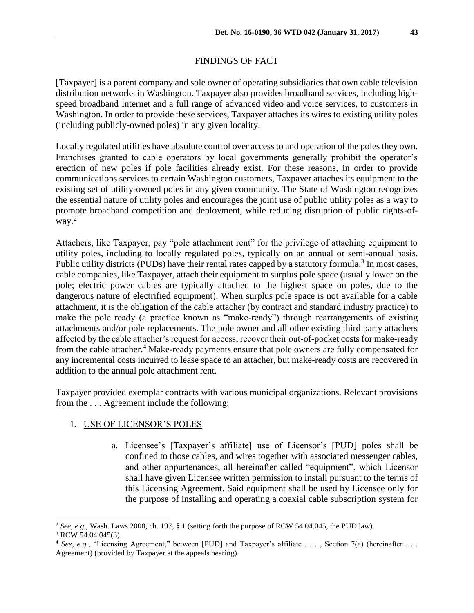### FINDINGS OF FACT

[Taxpayer] is a parent company and sole owner of operating subsidiaries that own cable television distribution networks in Washington. Taxpayer also provides broadband services, including highspeed broadband Internet and a full range of advanced video and voice services, to customers in Washington. In order to provide these services, Taxpayer attaches its wires to existing utility poles (including publicly-owned poles) in any given locality.

Locally regulated utilities have absolute control over access to and operation of the poles they own. Franchises granted to cable operators by local governments generally prohibit the operator's erection of new poles if pole facilities already exist. For these reasons, in order to provide communications services to certain Washington customers, Taxpayer attaches its equipment to the existing set of utility-owned poles in any given community. The State of Washington recognizes the essential nature of utility poles and encourages the joint use of public utility poles as a way to promote broadband competition and deployment, while reducing disruption of public rights-ofway.<sup>2</sup>

Attachers, like Taxpayer, pay "pole attachment rent" for the privilege of attaching equipment to utility poles, including to locally regulated poles, typically on an annual or semi-annual basis. Public utility districts (PUDs) have their rental rates capped by a statutory formula.<sup>3</sup> In most cases, cable companies, like Taxpayer, attach their equipment to surplus pole space (usually lower on the pole; electric power cables are typically attached to the highest space on poles, due to the dangerous nature of electrified equipment). When surplus pole space is not available for a cable attachment, it is the obligation of the cable attacher (by contract and standard industry practice) to make the pole ready (a practice known as "make-ready") through rearrangements of existing attachments and/or pole replacements. The pole owner and all other existing third party attachers affected by the cable attacher's request for access, recover their out-of-pocket costs for make-ready from the cable attacher.<sup>4</sup> Make-ready payments ensure that pole owners are fully compensated for any incremental costs incurred to lease space to an attacher, but make-ready costs are recovered in addition to the annual pole attachment rent.

Taxpayer provided exemplar contracts with various municipal organizations. Relevant provisions from the . . . Agreement include the following:

## 1. USE OF LICENSOR'S POLES

a. Licensee's [Taxpayer's affiliate] use of Licensor's [PUD] poles shall be confined to those cables, and wires together with associated messenger cables, and other appurtenances, all hereinafter called "equipment", which Licensor shall have given Licensee written permission to install pursuant to the terms of this Licensing Agreement. Said equipment shall be used by Licensee only for the purpose of installing and operating a coaxial cable subscription system for

<sup>&</sup>lt;sup>2</sup> See, e.g., Wash. Laws 2008, ch. 197, § 1 (setting forth the purpose of RCW 54.04.045, the PUD law).

 $3$  RCW 54.04.045(3).

<sup>&</sup>lt;sup>4</sup> *See, e.g.*, "Licensing Agreement," between [PUD] and Taxpayer's affiliate . . . , Section 7(a) (hereinafter . . . Agreement) (provided by Taxpayer at the appeals hearing).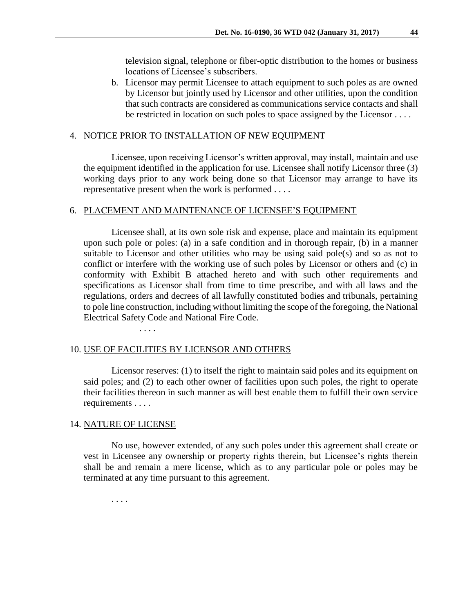television signal, telephone or fiber-optic distribution to the homes or business locations of Licensee's subscribers.

b. Licensor may permit Licensee to attach equipment to such poles as are owned by Licensor but jointly used by Licensor and other utilities, upon the condition that such contracts are considered as communications service contacts and shall be restricted in location on such poles to space assigned by the Licensor . . . .

### 4. NOTICE PRIOR TO INSTALLATION OF NEW EQUIPMENT

Licensee, upon receiving Licensor's written approval, may install, maintain and use the equipment identified in the application for use. Licensee shall notify Licensor three (3) working days prior to any work being done so that Licensor may arrange to have its representative present when the work is performed . . . .

### 6. PLACEMENT AND MAINTENANCE OF LICENSEE'S EQUIPMENT

Licensee shall, at its own sole risk and expense, place and maintain its equipment upon such pole or poles: (a) in a safe condition and in thorough repair, (b) in a manner suitable to Licensor and other utilities who may be using said pole(s) and so as not to conflict or interfere with the working use of such poles by Licensor or others and (c) in conformity with Exhibit B attached hereto and with such other requirements and specifications as Licensor shall from time to time prescribe, and with all laws and the regulations, orders and decrees of all lawfully constituted bodies and tribunals, pertaining to pole line construction, including without limiting the scope of the foregoing, the National Electrical Safety Code and National Fire Code.

## 10. USE OF FACILITIES BY LICENSOR AND OTHERS

. . . .

Licensor reserves: (1) to itself the right to maintain said poles and its equipment on said poles; and (2) to each other owner of facilities upon such poles, the right to operate their facilities thereon in such manner as will best enable them to fulfill their own service requirements . . . .

### 14. NATURE OF LICENSE

No use, however extended, of any such poles under this agreement shall create or vest in Licensee any ownership or property rights therein, but Licensee's rights therein shall be and remain a mere license, which as to any particular pole or poles may be terminated at any time pursuant to this agreement.

. . . .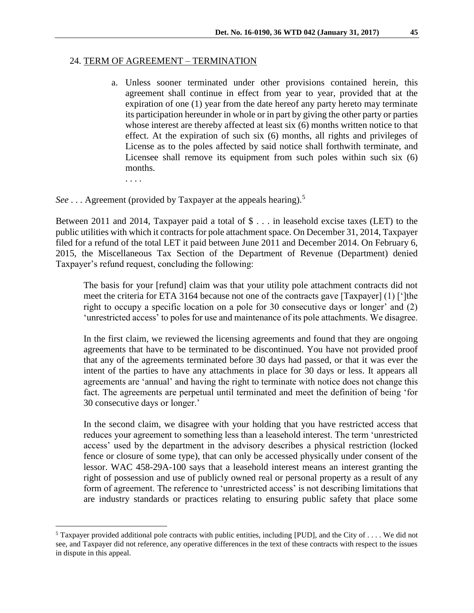#### 24. TERM OF AGREEMENT – TERMINATION

a. Unless sooner terminated under other provisions contained herein, this agreement shall continue in effect from year to year, provided that at the expiration of one (1) year from the date hereof any party hereto may terminate its participation hereunder in whole or in part by giving the other party or parties whose interest are thereby affected at least six (6) months written notice to that effect. At the expiration of such six (6) months, all rights and privileges of License as to the poles affected by said notice shall forthwith terminate, and Licensee shall remove its equipment from such poles within such six (6) months.

. . . .

 $\overline{a}$ 

*See* . . . Agreement (provided by Taxpayer at the appeals hearing).<sup>5</sup>

Between 2011 and 2014, Taxpayer paid a total of \$ . . . in leasehold excise taxes (LET) to the public utilities with which it contracts for pole attachment space. On December 31, 2014, Taxpayer filed for a refund of the total LET it paid between June 2011 and December 2014. On February 6, 2015, the Miscellaneous Tax Section of the Department of Revenue (Department) denied Taxpayer's refund request, concluding the following:

The basis for your [refund] claim was that your utility pole attachment contracts did not meet the criteria for ETA 3164 because not one of the contracts gave [Taxpayer] (1) [']the right to occupy a specific location on a pole for 30 consecutive days or longer' and (2) 'unrestricted access' to poles for use and maintenance of its pole attachments. We disagree.

In the first claim, we reviewed the licensing agreements and found that they are ongoing agreements that have to be terminated to be discontinued. You have not provided proof that any of the agreements terminated before 30 days had passed, or that it was ever the intent of the parties to have any attachments in place for 30 days or less. It appears all agreements are 'annual' and having the right to terminate with notice does not change this fact. The agreements are perpetual until terminated and meet the definition of being 'for 30 consecutive days or longer.'

In the second claim, we disagree with your holding that you have restricted access that reduces your agreement to something less than a leasehold interest. The term 'unrestricted access' used by the department in the advisory describes a physical restriction (locked fence or closure of some type), that can only be accessed physically under consent of the lessor. WAC 458-29A-100 says that a leasehold interest means an interest granting the right of possession and use of publicly owned real or personal property as a result of any form of agreement. The reference to 'unrestricted access' is not describing limitations that are industry standards or practices relating to ensuring public safety that place some

<sup>&</sup>lt;sup>5</sup> Taxpayer provided additional pole contracts with public entities, including [PUD], and the City of  $\dots$ . We did not see, and Taxpayer did not reference, any operative differences in the text of these contracts with respect to the issues in dispute in this appeal.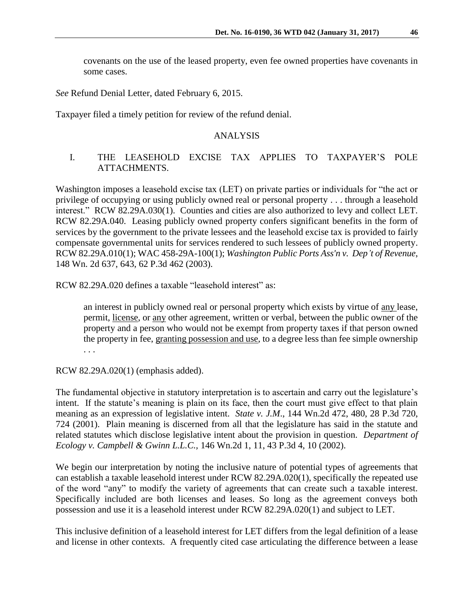covenants on the use of the leased property, even fee owned properties have covenants in some cases.

*See* Refund Denial Letter, dated February 6, 2015.

Taxpayer filed a timely petition for review of the refund denial.

### ANALYSIS

### I. THE LEASEHOLD EXCISE TAX APPLIES TO TAXPAYER'S POLE ATTACHMENTS.

Washington imposes a leasehold excise tax (LET) on private parties or individuals for "the act or privilege of occupying or using publicly owned real or personal property . . . through a leasehold interest." RCW 82.29A.030(1). Counties and cities are also authorized to levy and collect LET. RCW 82.29A.040. Leasing publicly owned property confers significant benefits in the form of services by the government to the private lessees and the leasehold excise tax is provided to fairly compensate governmental units for services rendered to such lessees of publicly owned property. [RCW 82.29A.010\(](http://web2.westlaw.com/find/default.wl?tf=-1&rs=WLW9.07&ifm=NotSet&fn=_top&sv=Split&docname=WAST82.29A.010&tc=-1&pbc=E5486B4F&ordoc=2003117616&findtype=L&db=1000259&vr=2.0&rp=%2ffind%2fdefault.wl&mt=108)1); WAC 458-29A-100(1); *Washington Public Ports Ass'n v. Dep't of Revenue*, 148 Wn. 2d 637, 643, 62 P.3d 462 (2003).

[RCW 82.29A.020](http://web2.westlaw.com/find/default.wl?tf=-1&rs=WLW9.07&ifm=NotSet&fn=_top&sv=Split&docname=WAST82.29A.020&tc=-1&pbc=E5486B4F&ordoc=2003117616&findtype=L&db=1000259&vr=2.0&rp=%2ffind%2fdefault.wl&mt=108) defines a taxable "leasehold interest" as:

an interest in publicly owned real or personal property which exists by virtue of any lease, permit, license, or any other agreement, written or verbal, between the public owner of the property and a person who would not be exempt from property taxes if that person owned the property in fee, granting possession and use, to a degree less than fee simple ownership . . .

RCW 82.29A.020(1) (emphasis added).

The fundamental objective in statutory interpretation is to ascertain and carry out the legislature's intent. If the statute's meaning is plain on its face, then the court must give effect to that plain meaning as an expression of legislative intent. *State v. J.M*., 144 Wn.2d 472, 480, 28 P.3d 720, 724 (2001). Plain meaning is discerned from all that the legislature has said in the statute and related statutes which disclose legislative intent about the provision in question. *Department of Ecology v. Campbell & Gwinn L.L.C.,* 146 Wn.2d 1, 11, 43 P.3d 4, 10 (2002).

We begin our interpretation by noting the inclusive nature of potential types of agreements that can establish a taxable leasehold interest under [RCW 82.29A.020\(](http://web2.westlaw.com/find/default.wl?tf=-1&rs=WLW9.07&ifm=NotSet&fn=_top&sv=Split&docname=WAST82.29A.020&tc=-1&pbc=E5486B4F&ordoc=2003117616&findtype=L&db=1000259&vr=2.0&rp=%2ffind%2fdefault.wl&mt=108)1), specifically the repeated use of the word "any" to modify the variety of agreements that can create such a taxable interest. Specifically included are both licenses and leases. So long as the agreement conveys both possession and use it is a leasehold interest under [RCW 82.29A.020\(](http://web2.westlaw.com/find/default.wl?tf=-1&rs=WLW9.07&ifm=NotSet&fn=_top&sv=Split&docname=WAST82.29A.020&tc=-1&pbc=E5486B4F&ordoc=2003117616&findtype=L&db=1000259&vr=2.0&rp=%2ffind%2fdefault.wl&mt=108)1) and subject to LET.

This inclusive definition of a leasehold interest for LET differs from the legal definition of a lease and license in other contexts. A frequently cited case articulating the difference between a lease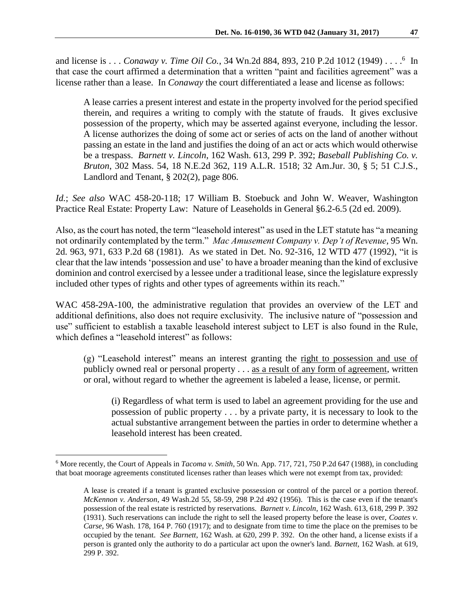and license is . . . *Conaway v. Time Oil Co.*, 34 Wn.2d 884, 893, 210 P.2d 1012 (1949) . . . . <sup>6</sup> In that case the court affirmed a determination that a written "paint and facilities agreement" was a license rather than a lease. In *Conaway* the court differentiated a lease and license as follows:

A lease carries a present interest and estate in the property involved for the period specified therein, and requires a writing to comply with the statute of frauds. It gives exclusive possession of the property, which may be asserted against everyone, including the lessor. A license authorizes the doing of some act or series of acts on the land of another without passing an estate in the land and justifies the doing of an act or acts which would otherwise be a trespass. *Barnett v. Lincoln*, 162 Wash. 613, 299 P. 392; *Baseball Publishing Co. v. Bruton*, 302 Mass. 54, 18 N.E.2d 362, 119 A.L.R. 1518; 32 Am.Jur. 30, § 5; 51 C.J.S., Landlord and Tenant, § 202(2), page 806.

*Id.*; *See also* WAC 458-20-118; 17 William B. Stoebuck and John W. Weaver, Washington Practice Real Estate: Property Law: Nature of Leaseholds in General §6.2-6.5 (2d ed. 2009).

Also, as the court has noted, the term "leasehold interest" as used in the LET statute has "a meaning not ordinarily contemplated by the term." *Mac Amusement Company v. Dep't of Revenue,* 95 Wn. 2d. 963, 971, 633 P.2d 68 (1981). As we stated in Det. No. 92-316, 12 WTD 477 (1992), "it is clear that the law intends 'possession and use' to have a broader meaning than the kind of exclusive dominion and control exercised by a lessee under a traditional lease, since the legislature expressly included other types of rights and other types of agreements within its reach."

WAC 458-29A-100, the administrative regulation that provides an overview of the LET and additional definitions, also does not require exclusivity. The inclusive nature of "possession and use" sufficient to establish a taxable leasehold interest subject to LET is also found in the Rule, which defines a "leasehold interest" as follows:

(g) "Leasehold interest" means an interest granting the right to possession and use of publicly owned real or personal property . . . as a result of any form of agreement, written or oral, without regard to whether the agreement is labeled a lease, license, or permit.

(i) Regardless of what term is used to label an agreement providing for the use and possession of public property . . . by a private party, it is necessary to look to the actual substantive arrangement between the parties in order to determine whether a leasehold interest has been created.

<sup>6</sup> More recently, the Court of Appeals in *Tacoma v. Smith*, 50 Wn. App. 717, 721, 750 P.2d 647 (1988), in concluding that boat moorage agreements constituted licenses rather than leases which were not exempt from tax, provided:

A lease is created if a tenant is granted exclusive possession or control of the parcel or a portion thereof. *McKennon v. Anderson*, 49 Wash.2d 55, 58-59, 298 P.2d 492 (1956). This is the case even if the tenant's possession of the real estate is restricted by reservations. *Barnett v. Lincoln*, 162 Wash. 613, 618, 299 P. 392 (1931). Such reservations can include the right to sell the leased property before the lease is over, *Coates v. Carse*, 96 Wash. 178, 164 P. 760 (1917); and to designate from time to time the place on the premises to be occupied by the tenant. *See Barnett*, 162 Wash. at 620, 299 P. 392. On the other hand, a license exists if a person is granted only the authority to do a particular act upon the owner's land. *Barnett,* 162 Wash. at 619, 299 P. 392.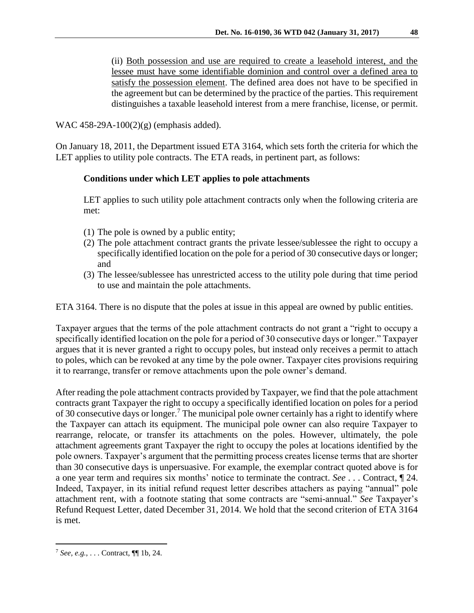(ii) Both possession and use are required to create a leasehold interest, and the lessee must have some identifiable dominion and control over a defined area to satisfy the possession element. The defined area does not have to be specified in the agreement but can be determined by the practice of the parties. This requirement distinguishes a taxable leasehold interest from a mere franchise, license, or permit.

WAC 458-29A-100(2)(g) (emphasis added).

On January 18, 2011, the Department issued ETA 3164, which sets forth the criteria for which the LET applies to utility pole contracts. The ETA reads, in pertinent part, as follows:

# **Conditions under which LET applies to pole attachments**

LET applies to such utility pole attachment contracts only when the following criteria are met:

- (1) The pole is owned by a public entity;
- (2) The pole attachment contract grants the private lessee/sublessee the right to occupy a specifically identified location on the pole for a period of 30 consecutive days or longer; and
- (3) The lessee/sublessee has unrestricted access to the utility pole during that time period to use and maintain the pole attachments.

ETA 3164. There is no dispute that the poles at issue in this appeal are owned by public entities.

Taxpayer argues that the terms of the pole attachment contracts do not grant a "right to occupy a specifically identified location on the pole for a period of 30 consecutive days or longer." Taxpayer argues that it is never granted a right to occupy poles, but instead only receives a permit to attach to poles, which can be revoked at any time by the pole owner. Taxpayer cites provisions requiring it to rearrange, transfer or remove attachments upon the pole owner's demand.

After reading the pole attachment contracts provided by Taxpayer, we find that the pole attachment contracts grant Taxpayer the right to occupy a specifically identified location on poles for a period of 30 consecutive days or longer.<sup>7</sup> The municipal pole owner certainly has a right to identify where the Taxpayer can attach its equipment. The municipal pole owner can also require Taxpayer to rearrange, relocate, or transfer its attachments on the poles. However, ultimately, the pole attachment agreements grant Taxpayer the right to occupy the poles at locations identified by the pole owners. Taxpayer's argument that the permitting process creates license terms that are shorter than 30 consecutive days is unpersuasive. For example, the exemplar contract quoted above is for a one year term and requires six months' notice to terminate the contract. *See* . . . Contract, ¶ 24. Indeed, Taxpayer, in its initial refund request letter describes attachers as paying "annual" pole attachment rent, with a footnote stating that some contracts are "semi-annual." *See* Taxpayer's Refund Request Letter, dated December 31, 2014. We hold that the second criterion of ETA 3164 is met.

<sup>7</sup> *See, e.g.*, . . . Contract, ¶¶ 1b, 24.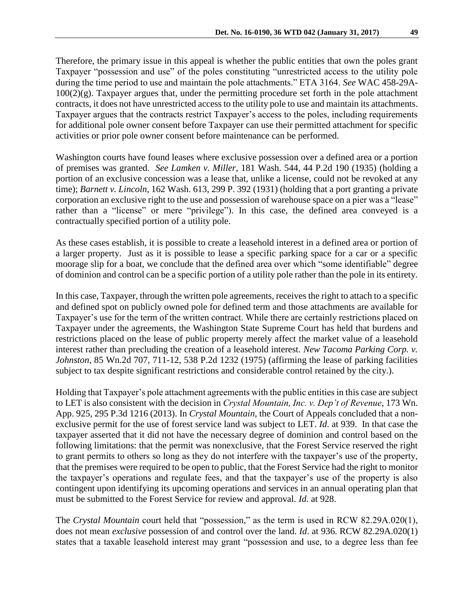Therefore, the primary issue in this appeal is whether the public entities that own the poles grant Taxpayer "possession and use" of the poles constituting "unrestricted access to the utility pole during the time period to use and maintain the pole attachments." ETA 3164. *See* WAC 458-29A- $100(2)(g)$ . Taxpayer argues that, under the permitting procedure set forth in the pole attachment contracts, it does not have unrestricted access to the utility pole to use and maintain its attachments. Taxpayer argues that the contracts restrict Taxpayer's access to the poles, including requirements for additional pole owner consent before Taxpayer can use their permitted attachment for specific activities or prior pole owner consent before maintenance can be performed.

Washington courts have found leases where exclusive possession over a defined area or a portion of premises was granted. *See Lamken v. Miller*, 181 Wash. 544, 44 P.2d 190 (1935) (holding a portion of an exclusive concession was a lease that, unlike a license, could not be revoked at any time); *Barnett v. Lincoln*, 162 Wash. 613, 299 P. 392 (1931) (holding that a port granting a private corporation an exclusive right to the use and possession of warehouse space on a pier was a "lease" rather than a "license" or mere "privilege"). In this case, the defined area conveyed is a contractually specified portion of a utility pole.

As these cases establish, it is possible to create a leasehold interest in a defined area or portion of a larger property. Just as it is possible to lease a specific parking space for a car or a specific moorage slip for a boat, we conclude that the defined area over which "some identifiable" degree of dominion and control can be a specific portion of a utility pole rather than the pole in its entirety.

In this case, Taxpayer, through the written pole agreements, receives the right to attach to a specific and defined spot on publicly owned pole for defined term and those attachments are available for Taxpayer's use for the term of the written contract. While there are certainly restrictions placed on Taxpayer under the agreements, the Washington State Supreme Court has held that burdens and restrictions placed on the lease of public property merely affect the market value of a leasehold interest rather than precluding the creation of a leasehold interest. *New Tacoma Parking Corp. v. Johnston*, 85 Wn.2d 707, 711-12, 538 P.2d 1232 (1975) (affirming the lease of parking facilities subject to tax despite significant restrictions and considerable control retained by the city.).

Holding that Taxpayer's pole attachment agreements with the public entities in this case are subject to LET is also consistent with the decision in *Crystal Mountain, Inc. v. Dep't of Revenue*, 173 Wn. App. 925, 295 P.3d 1216 (2013). In *Crystal Mountain*, the Court of Appeals concluded that a nonexclusive permit for the use of forest service land was subject to LET. *Id*. at 939. In that case the taxpayer asserted that it did not have the necessary degree of dominion and control based on the following limitations: that the permit was nonexclusive, that the Forest Service reserved the right to grant permits to others so long as they do not interfere with the taxpayer's use of the property, that the premises were required to be open to public, that the Forest Service had the right to monitor the taxpayer's operations and regulate fees, and that the taxpayer's use of the property is also contingent upon identifying its upcoming operations and services in an annual operating plan that must be submitted to the Forest Service for review and approval. *Id*. at 928.

The *Crystal Mountain* court held that "possession," as the term is used in RCW 82.29A.020(1), does not mean *exclusive* possession of and control over the land. *Id*. at 936. RCW 82.29A.020(1) states that a taxable leasehold interest may grant "possession and use, to a degree less than fee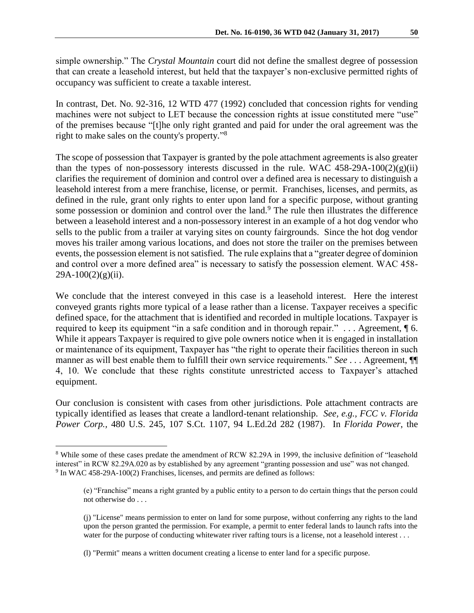simple ownership." The *Crystal Mountain* court did not define the smallest degree of possession that can create a leasehold interest, but held that the taxpayer's non-exclusive permitted rights of occupancy was sufficient to create a taxable interest.

In contrast, Det. No. 92-316, 12 WTD 477 (1992) concluded that concession rights for vending machines were not subject to LET because the concession rights at issue constituted mere "use" of the premises because "[t]he only right granted and paid for under the oral agreement was the right to make sales on the county's property." 8

The scope of possession that Taxpayer is granted by the pole attachment agreements is also greater than the types of non-possessory interests discussed in the rule. WAC  $458-29A-100(2)(g)(ii)$ clarifies the requirement of dominion and control over a defined area is necessary to distinguish a leasehold interest from a mere franchise, license, or permit. Franchises, licenses, and permits, as defined in the rule, grant only rights to enter upon land for a specific purpose, without granting some possession or dominion and control over the land.<sup>9</sup> The rule then illustrates the difference between a leasehold interest and a non-possessory interest in an example of a hot dog vendor who sells to the public from a trailer at varying sites on county fairgrounds. Since the hot dog vendor moves his trailer among various locations, and does not store the trailer on the premises between events, the possession element is not satisfied. The rule explains that a "greater degree of dominion and control over a more defined area" is necessary to satisfy the possession element. WAC 458-  $29A-100(2)(g)(ii)$ .

We conclude that the interest conveyed in this case is a leasehold interest. Here the interest conveyed grants rights more typical of a lease rather than a license. Taxpayer receives a specific defined space, for the attachment that is identified and recorded in multiple locations. Taxpayer is required to keep its equipment "in a safe condition and in thorough repair." . . . Agreement, ¶ 6. While it appears Taxpayer is required to give pole owners notice when it is engaged in installation or maintenance of its equipment, Taxpayer has "the right to operate their facilities thereon in such manner as will best enable them to fulfill their own service requirements." *See* . . . Agreement, ¶¶ 4, 10. We conclude that these rights constitute unrestricted access to Taxpayer's attached equipment.

Our conclusion is consistent with cases from other jurisdictions. Pole attachment contracts are typically identified as leases that create a landlord-tenant relationship. *See, e.g., [FCC v. Florida](http://www.westlaw.com/Find/Default.wl?rs=dfa1.0&vr=2.0&DB=708&FindType=Y&SerialNum=1987024301)  [Power Corp.,](http://www.westlaw.com/Find/Default.wl?rs=dfa1.0&vr=2.0&DB=708&FindType=Y&SerialNum=1987024301)* [480 U.S. 245, 107 S.Ct. 1107, 94 L.Ed.2d 282 \(1987\).](http://www.westlaw.com/Find/Default.wl?rs=dfa1.0&vr=2.0&DB=708&FindType=Y&SerialNum=1987024301) In *Florida Power*, the

<sup>8</sup> While some of these cases predate the amendment of RCW 82.29A in 1999, the inclusive definition of "leasehold interest" in RCW 82.29A.020 as by established by any agreement "granting possession and use" was not changed.  $9 \text{ In WAC } 458\text{-}29\text{A-100(2)}$  Franchises, licenses, and permits are defined as follows:

<sup>(</sup>e) "Franchise" means a right granted by a public entity to a person to do certain things that the person could not otherwise do . . .

<sup>(</sup>j) "License" means permission to enter on land for some purpose, without conferring any rights to the land upon the person granted the permission. For example, a permit to enter federal lands to launch rafts into the water for the purpose of conducting whitewater river rafting tours is a license, not a leasehold interest . . .

<sup>(</sup>l) "Permit" means a written document creating a license to enter land for a specific purpose.